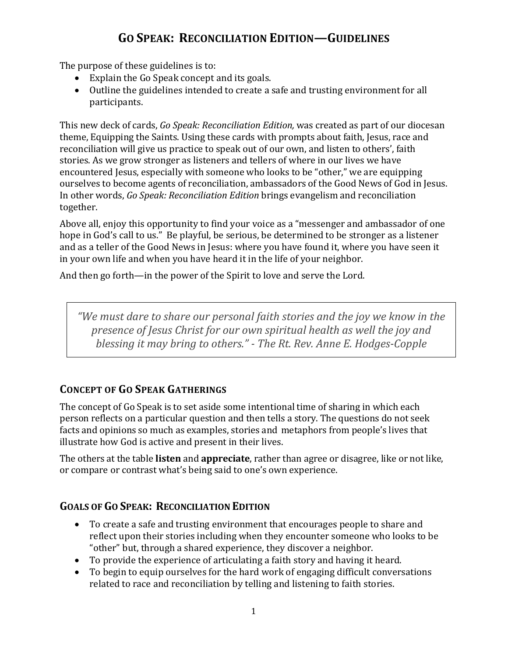# **GO SPEAK: RECONCILIATION EDITION—GUIDELINES**

The purpose of these guidelines is to:

- Explain the Go Speak concept and its goals.
- Outline the guidelines intended to create a safe and trusting environment for all participants.

This new deck of cards, *Go Speak: Reconciliation Edition,* was created as part of our diocesan theme, Equipping the Saints. Using these cards with prompts about faith, Jesus, race and reconciliation will give us practice to speak out of our own, and listen to others', faith stories. As we grow stronger as listeners and tellers of where in our lives we have encountered Jesus, especially with someone who looks to be "other," we are equipping ourselves to become agents of reconciliation, ambassadors of the Good News of God in Jesus. In other words, *Go Speak: Reconciliation Edition* brings evangelism and reconciliation together.

Above all, enjoy this opportunity to find your voice as a "messenger and ambassador of one hope in God's call to us." Be playful, be serious, be determined to be stronger as a listener and as a teller of the Good News in Jesus: where you have found it, where you have seen it in your own life and when you have heard it in the life of your neighbor.

And then go forth—in the power of the Spirit to love and serve the Lord.

*"We must dare to share our personal faith stories and the joy we know in the presence of Jesus Christ for our own spiritual health as well the joy and blessing it may bring to others." - The Rt. Rev. Anne E. Hodges-Copple*

## **CONCEPT OF GO SPEAK GATHERINGS**

The concept of Go Speak is to set aside some intentional time of sharing in which each person reflects on a particular question and then tells a story. The questions do not seek facts and opinions so much as examples, stories and metaphors from people's lives that illustrate how God is active and present in their lives.

The others at the table **listen** and **appreciate**, rather than agree or disagree, like or not like, or compare or contrast what's being said to one's own experience.

## **GOALS OF GO SPEAK: RECONCILIATION EDITION**

- To create a safe and trusting environment that encourages people to share and reflect upon their stories including when they encounter someone who looks to be "other" but, through a shared experience, they discover a neighbor.
- To provide the experience of articulating a faith story and having it heard.
- To begin to equip ourselves for the hard work of engaging difficult conversations related to race and reconciliation by telling and listening to faith stories.